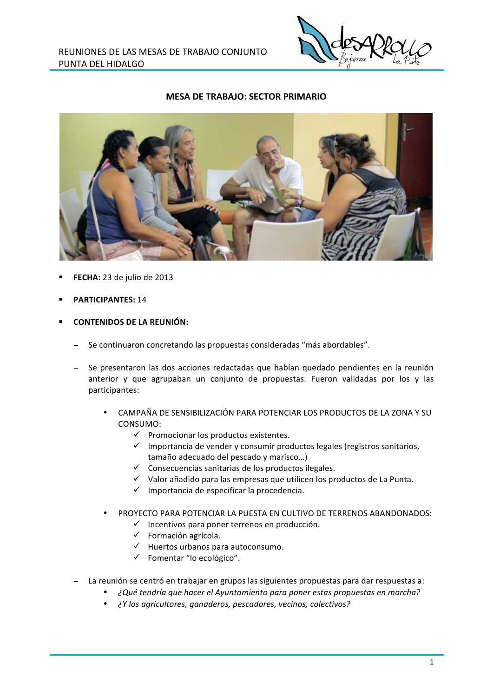

## **MESA DE TRABAJO: SECTOR PRIMARIO**



- FECHA: 23 de julio de 2013
- **PARTICIPANTES: 14**
- **CONTENIDOS DE LA REUNIÓN:** 
	- Se continuaron concretando las propuestas consideradas "más abordables".
	- Se presentaron las dos acciones redactadas que habían quedado pendientes en la reunión anterior y que agrupaban un conjunto de propuestas. Fueron validadas por los y las participantes:
		- CAMPAÑA DE SENSIBILIZACIÓN PARA POTENCIAR LOS PRODUCTOS DE LA ZONA Y SU CONSUMO:
			- $\checkmark$  Promocionar los productos existentes.
			- √ Importancia de vender y consumir productos legales (registros sanitarios, tamaño adecuado del pescado y marisco...)
			- $\checkmark$  Consecuencias sanitarias de los productos ilegales.
			- √ Valor añadido para las empresas que utilicen los productos de La Punta.
			- $\checkmark$  Importancia de especificar la procedencia.
		- PROYECTO PARA POTENCIAR LA PUESTA EN CULTIVO DE TERRENOS ABANDONADOS:
			- $\checkmark$  Incentivos para poner terrenos en producción.
			- $\checkmark$  Formación agrícola.
			- $\checkmark$  Huertos urbanos para autoconsumo.
			- $\checkmark$  Fomentar "lo ecológico".
	- La reunión se centró en trabajar en grupos las siguientes propuestas para dar respuestas a:
		- ¿Qué tendría que hacer el Ayuntamiento para poner estas propuestas en marcha?
		- ¿Y los agricultores, ganaderos, pescadores, vecinos, colectivos?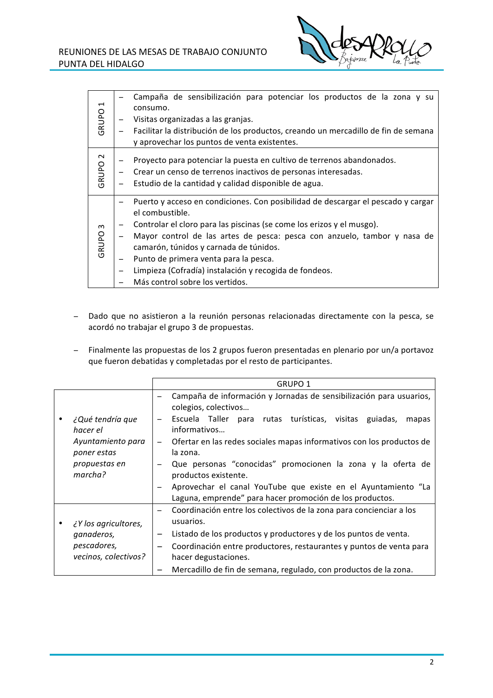

| $\overline{\phantom{0}}$<br>GRUPO | Campaña de sensibilización para potenciar los productos de la zona y su<br>consumo.<br>Visitas organizadas a las granjas.<br>Facilitar la distribución de los productos, creando un mercadillo de fin de semana |  |  |  |  |  |
|-----------------------------------|-----------------------------------------------------------------------------------------------------------------------------------------------------------------------------------------------------------------|--|--|--|--|--|
|                                   | y aprovechar los puntos de venta existentes.                                                                                                                                                                    |  |  |  |  |  |
| $\sim$<br>GRUPO                   | Proyecto para potenciar la puesta en cultivo de terrenos abandonados.<br>Crear un censo de terrenos inactivos de personas interesadas.<br>Estudio de la cantidad y calidad disponible de agua.                  |  |  |  |  |  |
| m<br>GRUPO                        | Puerto y acceso en condiciones. Con posibilidad de descargar el pescado y cargar<br>el combustible.                                                                                                             |  |  |  |  |  |
|                                   | Controlar el cloro para las piscinas (se come los erizos y el musgo).<br>Mayor control de las artes de pesca: pesca con anzuelo, tambor y nasa de                                                               |  |  |  |  |  |
|                                   | camarón, túnidos y carnada de túnidos.<br>Punto de primera venta para la pesca.                                                                                                                                 |  |  |  |  |  |
|                                   | Limpieza (Cofradía) instalación y recogida de fondeos.<br>Más control sobre los vertidos.                                                                                                                       |  |  |  |  |  |

- Dado que no asistieron a la reunión personas relacionadas directamente con la pesca, se acordó no trabajar el grupo 3 de propuestas.
- Finalmente las propuestas de los 2 grupos fueron presentadas en plenario por un/a portavoz que fueron debatidas y completadas por el resto de participantes.

|                                                                                              | <b>GRUPO 1</b>                                                                                                                                                                                                                                                                                                                                                                                                                                                                         |
|----------------------------------------------------------------------------------------------|----------------------------------------------------------------------------------------------------------------------------------------------------------------------------------------------------------------------------------------------------------------------------------------------------------------------------------------------------------------------------------------------------------------------------------------------------------------------------------------|
| ¿Qué tendría que<br>hacer el<br>Ayuntamiento para<br>poner estas<br>propuestas en<br>marcha? | Campaña de información y Jornadas de sensibilización para usuarios,<br>colegios, colectivos<br>Escuela Taller para<br>rutas turísticas, visitas guiadas,<br>mapas<br>informativos<br>Ofertar en las redes sociales mapas informativos con los productos de<br>$\overline{\phantom{m}}$<br>la zona.<br>Que personas "conocidas" promocionen la zona y la oferta de<br>$\overline{\phantom{m}}$<br>productos existente.<br>Aprovechar el canal YouTube que existe en el Ayuntamiento "La |
|                                                                                              | Laguna, emprende" para hacer promoción de los productos.                                                                                                                                                                                                                                                                                                                                                                                                                               |
| ¿Y los agricultores,                                                                         | Coordinación entre los colectivos de la zona para concienciar a los<br>$\overline{\phantom{m}}$<br>usuarios.                                                                                                                                                                                                                                                                                                                                                                           |
| ganaderos,                                                                                   | Listado de los productos y productores y de los puntos de venta.                                                                                                                                                                                                                                                                                                                                                                                                                       |
| pescadores,<br>vecinos, colectivos?                                                          | Coordinación entre productores, restaurantes y puntos de venta para<br>hacer degustaciones.                                                                                                                                                                                                                                                                                                                                                                                            |
|                                                                                              | Mercadillo de fin de semana, regulado, con productos de la zona.                                                                                                                                                                                                                                                                                                                                                                                                                       |